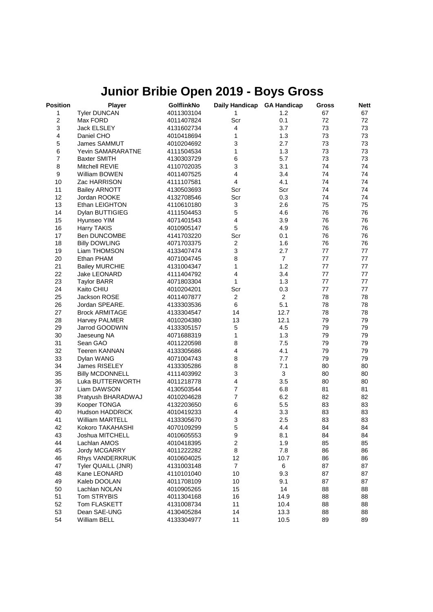## **Junior Bribie Open 2019 - Boys Gross**

| Position       | Player                 | GolflinkNo | Daily Handicap            | <b>GA Handicap</b> | Gross | <b>Nett</b> |
|----------------|------------------------|------------|---------------------------|--------------------|-------|-------------|
| 1              | <b>Tyler DUNCAN</b>    | 4011303104 | 1                         | 1.2                | 67    | 67          |
| $\overline{2}$ | Max FORD               | 4011407824 | Scr                       | 0.1                | 72    | 72          |
| 3              | <b>Jack ELSLEY</b>     | 4131602734 | $\overline{\mathbf{4}}$   | 3.7                | 73    | 73          |
| 4              | Daniel CHO             | 4010418694 | 1                         | 1.3                | 73    | 73          |
| 5              | James SAMMUT           | 4010204692 | 3                         | 2.7                | 73    | 73          |
| 6              | Yevin SAMARARATNE      | 4111504534 | 1                         | 1.3                | 73    | 73          |
| $\overline{7}$ | <b>Baxter SMITH</b>    | 4130303729 | 6                         | 5.7                | 73    | 73          |
| 8              | Mitchell REVIE         | 4110702035 | 3                         | 3.1                | 74    | 74          |
| 9              | William BOWEN          | 4011407525 | 4                         | 3.4                | 74    | 74          |
| 10             | Zac HARRISON           | 4111107581 | 4                         | 4.1                | 74    | 74          |
| 11             | <b>Bailey ARNOTT</b>   | 4130503693 | Scr                       | Scr                | 74    | 74          |
| 12             | Jordan ROOKE           | 4132708546 | Scr                       | 0.3                | 74    | 74          |
| 13             | Ethan LEIGHTON         | 4110610180 | $\ensuremath{\mathsf{3}}$ | 2.6                | 75    | 75          |
| 14             | Dylan BUTTIGIEG        | 4111504453 | 5                         | 4.6                | 76    | 76          |
| 15             | Hyunseo YIM            | 4071401543 | 4                         | 3.9                | 76    | 76          |
| 16             | Harry TAKIS            | 4010905147 | 5                         | 4.9                | 76    | 76          |
| 17             | Ben DUNCOMBE           | 4141703220 | Scr                       | 0.1                | 76    | 76          |
| 18             | <b>Billy DOWLING</b>   | 4071703375 | $\boldsymbol{2}$          | 1.6                | 76    | 76          |
| 19             | Liam THOMSON           | 4133407474 | 3                         | 2.7                | 77    | 77          |
| 20             | Ethan PHAM             | 4071004745 | 8                         | $\overline{7}$     | 77    | 77          |
| 21             | <b>Bailey MURCHIE</b>  | 4131004347 | 1                         | 1.2                | 77    | 77          |
| 22             | <b>Jake LEONARD</b>    | 4111404792 | 4                         | 3.4                | 77    | 77          |
| 23             | <b>Taylor BARR</b>     | 4071803304 | 1                         | 1.3                | 77    | 77          |
| 24             | Kaito CHIU             | 4010204201 | Scr                       | 0.3                | 77    | 77          |
| 25             | Jackson ROSE           | 4011407877 | 2                         | $\overline{2}$     | 78    | 78          |
| 26             | Jordan SPEARE.         | 4133303536 | 6                         | 5.1                | 78    | 78          |
| 27             | <b>Brock ARMITAGE</b>  | 4133304547 | 14                        | 12.7               | 78    | 78          |
| 28             | Harvey PALMER          | 4010204380 | 13                        | 12.1               | 79    | 79          |
| 29             | Jarrod GOODWIN         | 4133305157 | 5                         | 4.5                | 79    | 79          |
| 30             | Jaeseung NA            | 4071688319 | 1                         | 1.3                | 79    | 79          |
| 31             | Sean GAO               | 4011220598 | 8                         | 7.5                | 79    | 79          |
| 32             | <b>Teeren KANNAN</b>   | 4133305686 | 4                         | 4.1                | 79    | 79          |
| 33             | Dylan WANG             | 4071004743 | 8                         | 7.7                | 79    | 79          |
| 34             | James RISELEY          | 4133305286 | 8                         | 7.1                | 80    | 80          |
| 35             | <b>Billy MCDONNELL</b> | 4111403992 | 3                         | 3                  | 80    | 80          |
| 36             | Luka BUTTERWORTH       | 4011218778 | 4                         | 3.5                | 80    | 80          |
| 37             | Liam DAWSON            | 4130503544 | $\overline{7}$            | 6.8                | 81    | 81          |
| 38             | Pratyush BHARADWAJ     | 4010204628 | $\overline{7}$            | 6.2                | 82    | 82          |
| 39             | Kooper TONGA           | 4132203650 | 6                         | 5.5                | 83    | 83          |
| 40             | Hudson HADDRICK        | 4010419233 | 4                         | 3.3                | 83    | 83          |
| 41             | <b>William MARTELL</b> | 4133305670 | 3                         | 2.5                | 83    | 83          |
| 42             | Kokoro TAKAHASHI       | 4070109299 | 5                         | 4.4                | 84    | 84          |
| 43             | Joshua MITCHELL        | 4010605553 | 9                         | 8.1                | 84    | 84          |
| 44             | Lachlan AMOS           | 4010418395 | $\boldsymbol{2}$          | 1.9                | 85    | 85          |
| 45             | Jordy MCGARRY          | 4011222282 | 8                         | 7.8                | 86    | 86          |
| 46             | Rhys VANDERKRUK        | 4010604025 | 12                        | 10.7               | 86    | 86          |
| 47             | Tyler QUAILL (JNR)     | 4131003148 | $\overline{7}$            | 6                  | 87    | 87          |
| 48             | Kane LEONARD           | 4110101040 | 10                        | 9.3                | 87    | 87          |
| 49             | Kaleb DOOLAN           | 4011708109 | 10                        | 9.1                | 87    | 87          |
| 50             | Lachlan NOLAN          | 4010905265 | 15                        | 14                 | 88    | 88          |
| 51             | Tom STRYBIS            | 4011304168 | 16                        | 14.9               | 88    | 88          |
| 52             | Tom FLASKETT           | 4131008734 | 11                        | 10.4               | 88    | 88          |
| 53             | Dean SAE-UNG           | 4130405284 | 14                        | 13.3               | 88    | 88          |
| 54             | William BELL           | 4133304977 | 11                        | 10.5               | 89    | 89          |